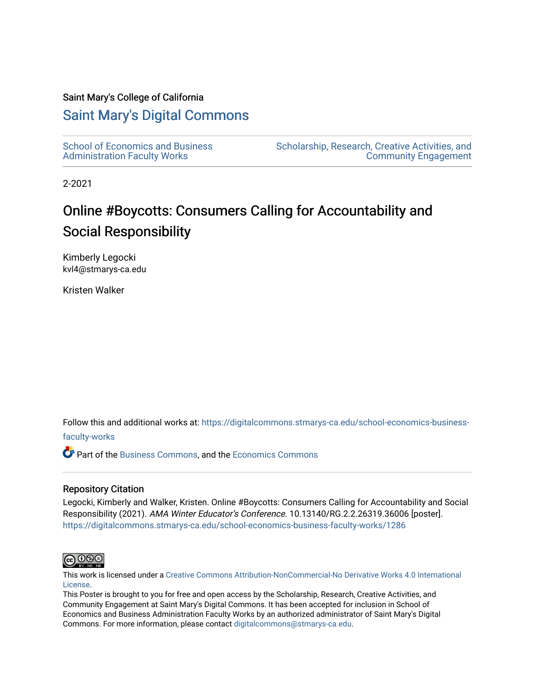#### Saint Mary's College of California

#### [Saint Mary's Digital Commons](https://digitalcommons.stmarys-ca.edu/)

[School of Economics and Business](https://digitalcommons.stmarys-ca.edu/school-economics-business-faculty-works)  [Administration Faculty Works](https://digitalcommons.stmarys-ca.edu/school-economics-business-faculty-works)

[Scholarship, Research, Creative Activities, and](https://digitalcommons.stmarys-ca.edu/scholarship-research-community)  [Community Engagement](https://digitalcommons.stmarys-ca.edu/scholarship-research-community) 

2-2021

#### Online #Boycotts: Consumers Calling for Accountability and Social Responsibility

Kimberly Legocki kvl4@stmarys-ca.edu

Kristen Walker

Follow this and additional works at: [https://digitalcommons.stmarys-ca.edu/school-economics-business-](https://digitalcommons.stmarys-ca.edu/school-economics-business-faculty-works?utm_source=digitalcommons.stmarys-ca.edu%2Fschool-economics-business-faculty-works%2F1286&utm_medium=PDF&utm_campaign=PDFCoverPages)

#### [faculty-works](https://digitalcommons.stmarys-ca.edu/school-economics-business-faculty-works?utm_source=digitalcommons.stmarys-ca.edu%2Fschool-economics-business-faculty-works%2F1286&utm_medium=PDF&utm_campaign=PDFCoverPages)

Part of the [Business Commons](http://network.bepress.com/hgg/discipline/622?utm_source=digitalcommons.stmarys-ca.edu%2Fschool-economics-business-faculty-works%2F1286&utm_medium=PDF&utm_campaign=PDFCoverPages), and the [Economics Commons](http://network.bepress.com/hgg/discipline/340?utm_source=digitalcommons.stmarys-ca.edu%2Fschool-economics-business-faculty-works%2F1286&utm_medium=PDF&utm_campaign=PDFCoverPages)

#### Repository Citation

Legocki, Kimberly and Walker, Kristen. Online #Boycotts: Consumers Calling for Accountability and Social Responsibility (2021). AMA Winter Educator's Conference. 10.13140/RG.2.2.26319.36006 [poster]. [https://digitalcommons.stmarys-ca.edu/school-economics-business-faculty-works/1286](https://digitalcommons.stmarys-ca.edu/school-economics-business-faculty-works/1286?utm_source=digitalcommons.stmarys-ca.edu%2Fschool-economics-business-faculty-works%2F1286&utm_medium=PDF&utm_campaign=PDFCoverPages) 



This work is licensed under a [Creative Commons Attribution-NonCommercial-No Derivative Works 4.0 International](https://creativecommons.org/licenses/by-nc-nd/4.0/) [License.](https://creativecommons.org/licenses/by-nc-nd/4.0/)

This Poster is brought to you for free and open access by the Scholarship, Research, Creative Activities, and Community Engagement at Saint Mary's Digital Commons. It has been accepted for inclusion in School of Economics and Business Administration Faculty Works by an authorized administrator of Saint Mary's Digital Commons. For more information, please contact [digitalcommons@stmarys-ca.edu](mailto:digitalcommons@stmarys-ca.edu).